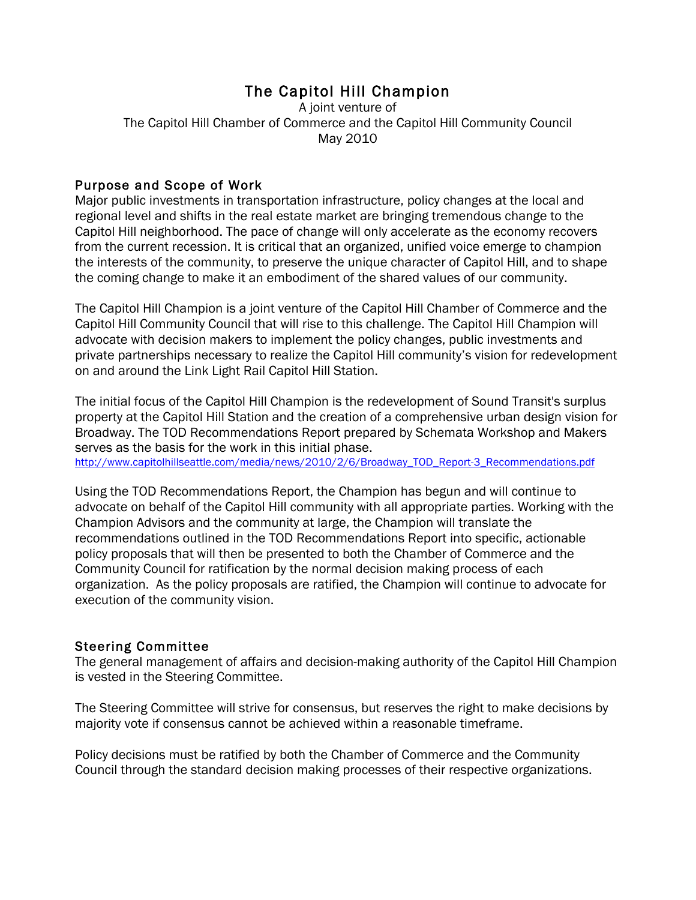# The Capitol Hill Champion

A joint venture of The Capitol Hill Chamber of Commerce and the Capitol Hill Community Council May 2010

# Purpose and Scope of Work

Major public investments in transportation infrastructure, policy changes at the local and regional level and shifts in the real estate market are bringing tremendous change to the Capitol Hill neighborhood. The pace of change will only accelerate as the economy recovers from the current recession. It is critical that an organized, unified voice emerge to champion the interests of the community, to preserve the unique character of Capitol Hill, and to shape the coming change to make it an embodiment of the shared values of our community.

The Capitol Hill Champion is a joint venture of the Capitol Hill Chamber of Commerce and the Capitol Hill Community Council that will rise to this challenge. The Capitol Hill Champion will advocate with decision makers to implement the policy changes, public investments and private partnerships necessary to realize the Capitol Hill community's vision for redevelopment on and around the Link Light Rail Capitol Hill Station.

The initial focus of the Capitol Hill Champion is the redevelopment of Sound Transit's surplus property at the Capitol Hill Station and the creation of a comprehensive urban design vision for Broadway. The TOD Recommendations Report prepared by Schemata Workshop and Makers serves as the basis for the work in this initial phase. http://www.capitolhillseattle.com/media/news/2010/2/6/Broadway\_TOD\_Report-3\_Recommendations.pdf

Using the TOD Recommendations Report, the Champion has begun and will continue to advocate on behalf of the Capitol Hill community with all appropriate parties. Working with the Champion Advisors and the community at large, the Champion will translate the recommendations outlined in the TOD Recommendations Report into specific, actionable policy proposals that will then be presented to both the Chamber of Commerce and the Community Council for ratification by the normal decision making process of each organization. As the policy proposals are ratified, the Champion will continue to advocate for execution of the community vision.

### Steering Committee

The general management of affairs and decision-making authority of the Capitol Hill Champion is vested in the Steering Committee.

The Steering Committee will strive for consensus, but reserves the right to make decisions by majority vote if consensus cannot be achieved within a reasonable timeframe.

Policy decisions must be ratified by both the Chamber of Commerce and the Community Council through the standard decision making processes of their respective organizations.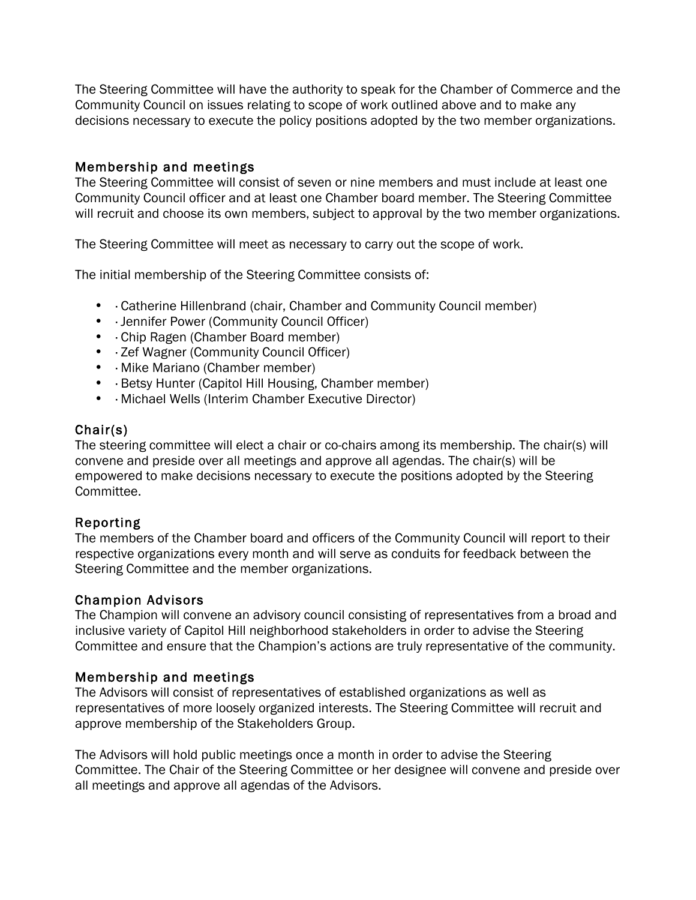The Steering Committee will have the authority to speak for the Chamber of Commerce and the Community Council on issues relating to scope of work outlined above and to make any decisions necessary to execute the policy positions adopted by the two member organizations.

# Membership and meetings

The Steering Committee will consist of seven or nine members and must include at least one Community Council officer and at least one Chamber board member. The Steering Committee will recruit and choose its own members, subject to approval by the two member organizations.

The Steering Committee will meet as necessary to carry out the scope of work.

The initial membership of the Steering Committee consists of:

- · Catherine Hillenbrand (chair, Chamber and Community Council member)
- · Jennifer Power (Community Council Officer)
- · Chip Ragen (Chamber Board member)
- · Zef Wagner (Community Council Officer)
- · Mike Mariano (Chamber member)
- · Betsy Hunter (Capitol Hill Housing, Chamber member)
- · Michael Wells (Interim Chamber Executive Director)

# Chair(s)

The steering committee will elect a chair or co-chairs among its membership. The chair(s) will convene and preside over all meetings and approve all agendas. The chair(s) will be empowered to make decisions necessary to execute the positions adopted by the Steering Committee.

# Reporting

The members of the Chamber board and officers of the Community Council will report to their respective organizations every month and will serve as conduits for feedback between the Steering Committee and the member organizations.

### Champion Advisors

The Champion will convene an advisory council consisting of representatives from a broad and inclusive variety of Capitol Hill neighborhood stakeholders in order to advise the Steering Committee and ensure that the Champion's actions are truly representative of the community.

### Membership and meetings

The Advisors will consist of representatives of established organizations as well as representatives of more loosely organized interests. The Steering Committee will recruit and approve membership of the Stakeholders Group.

The Advisors will hold public meetings once a month in order to advise the Steering Committee. The Chair of the Steering Committee or her designee will convene and preside over all meetings and approve all agendas of the Advisors.